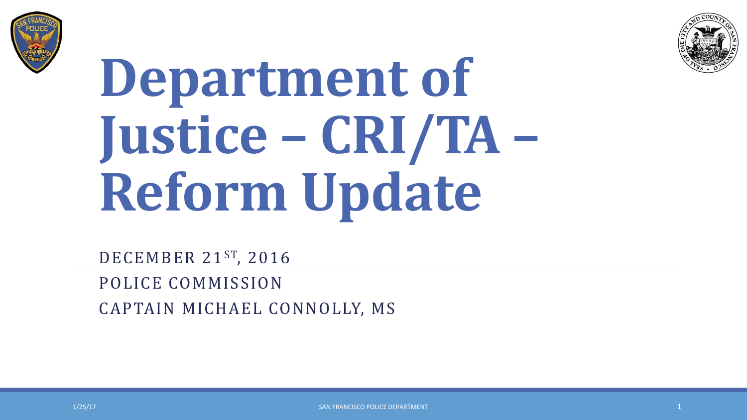



# **Department of Justice – CRI/TA – Reform Update**

DECEMBER 21ST, 2016

POLICE COMMISSION CAPTAIN MICHAEL CONNOLLY, MS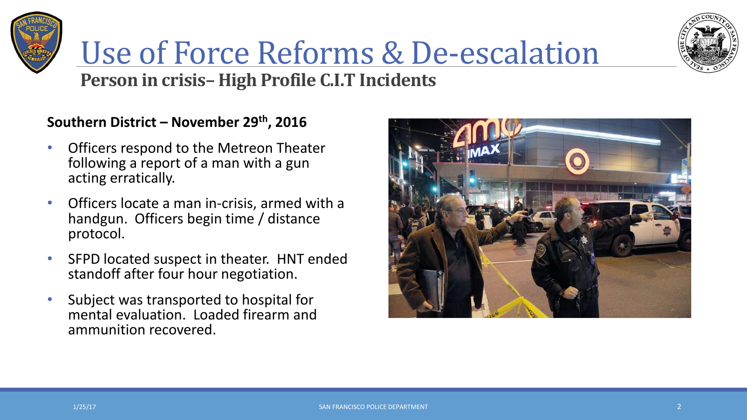

#### Use of Force Reforms & De-escalation **Person in crisis– High Profile C.I.T Incidents**

#### **Southern District – November 29th, 2016**

- Officers respond to the Metreon Theater following a report of a man with a gun acting erratically.
- Officers locate a man in-crisis, armed with a handgun. Officers begin time / distance protocol.
- SFPD located suspect in theater. HNT ended standoff after four hour negotiation.
- Subject was transported to hospital for mental evaluation. Loaded firearm and ammunition recovered.

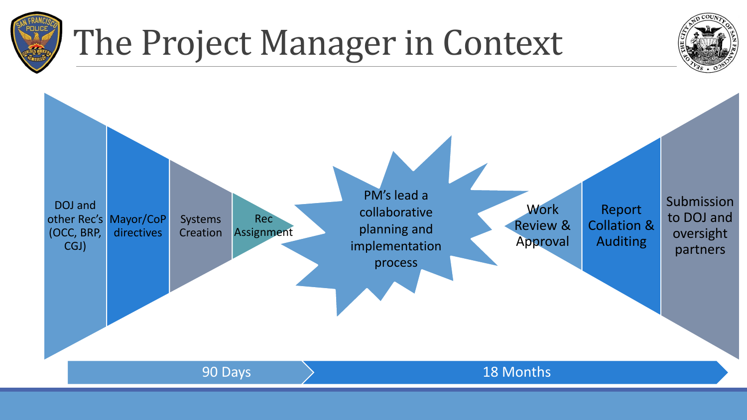

## The Project Manager in Context

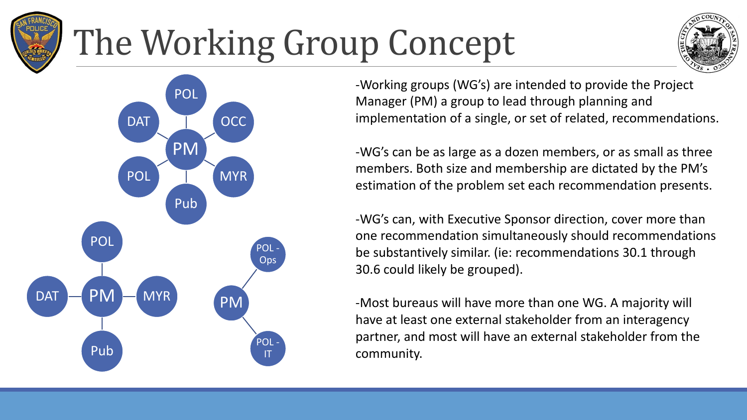## The Working Group Concept



-Working groups (WG's) are intended to provide the Project Manager (PM) a group to lead through planning and implementation of a single, or set of related, recommendations.

-WG's can be as large as a dozen members, or as small as three members. Both size and membership are dictated by the PM's estimation of the problem set each recommendation presents.

-WG's can, with Executive Sponsor direction, cover more than one recommendation simultaneously should recommendations be substantively similar. (ie: recommendations 30.1 through 30.6 could likely be grouped).

-Most bureaus will have more than one WG. A majority will have at least one external stakeholder from an interagency partner, and most will have an external stakeholder from the community.

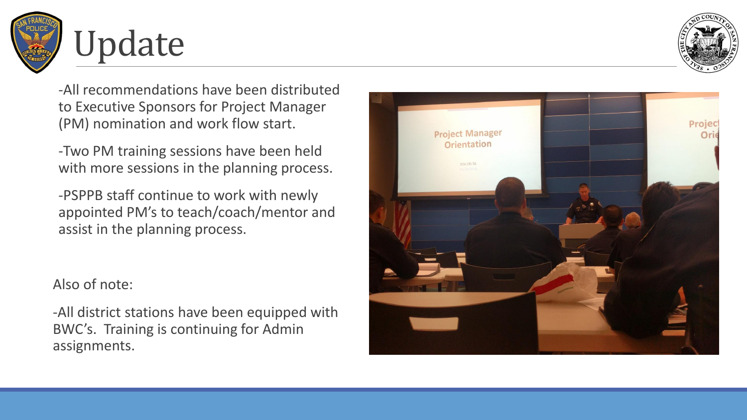

### Update



-All recommendations have been distributed to Executive Sponsors for Project Manager (PM) nomination and work flow start.

-Two PM training sessions have been held with more sessions in the planning process.

-PSPPB staff continue to work with newly appointed PM's to teach/coach/mentor and assist in the planning process.

#### Also of note:

-All district stations have been equipped with BWC's. Training is continuing for Admin assignments.

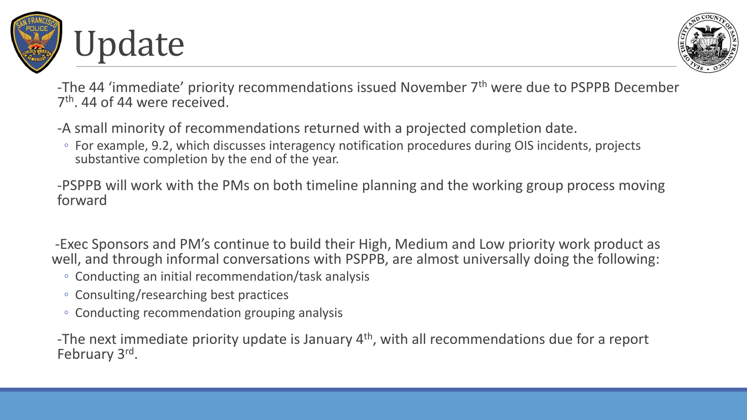



-The 44 'immediate' priority recommendations issued November 7<sup>th</sup> were due to PSPPB December 7<sup>th</sup>. 44 of 44 were received.

-A small minority of recommendations returned with a projected completion date.

◦ For example, 9.2, which discusses interagency notification procedures during OIS incidents, projects substantive completion by the end of the year.

-PSPPB will work with the PMs on both timeline planning and the working group process moving forward

-Exec Sponsors and PM's continue to build their High, Medium and Low priority work product as well, and through informal conversations with PSPPB, are almost universally doing the following:

- Conducting an initial recommendation/task analysis
- Consulting/researching best practices
- Conducting recommendation grouping analysis

-The next immediate priority update is January  $4<sup>th</sup>$ , with all recommendations due for a report February 3rd.